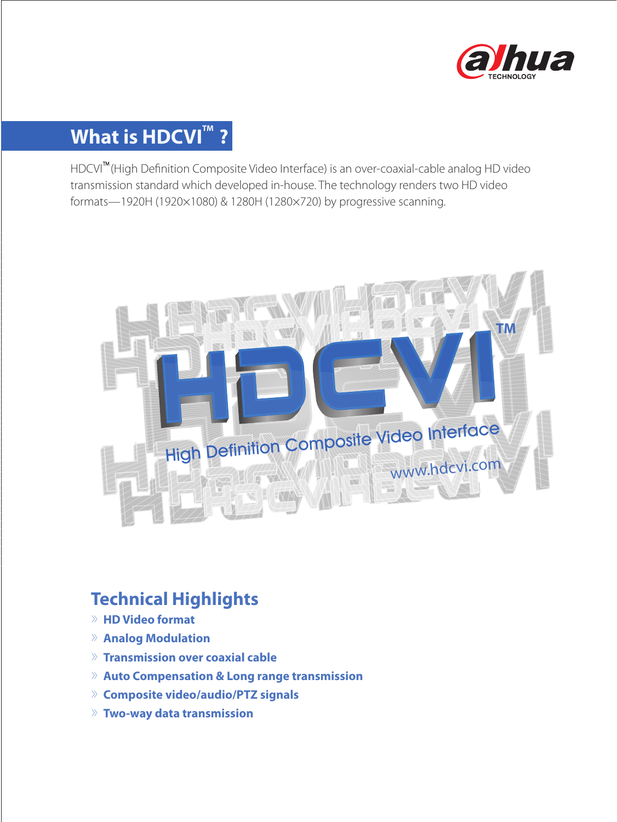

# **What is HDCVI<sup>™</sup> ?**

HDCVI™(High Definition Composite Video Interface) is an over-coaxial-cable analog HD video transmission standard which developed in-house. The technology renders two HD video formats—1920H (1920×1080) & 1280H (1280×720) by progressive scanning.



### **Technical Highlights**

- 》**HD Video format**
- 》**Analog Modulation**
- 》**Transmission over coaxial cable**
- 》**Auto Compensation & Long range transmission**
- 》**Composite video/audio/PTZ signals**
- 》**Two-way data transmission**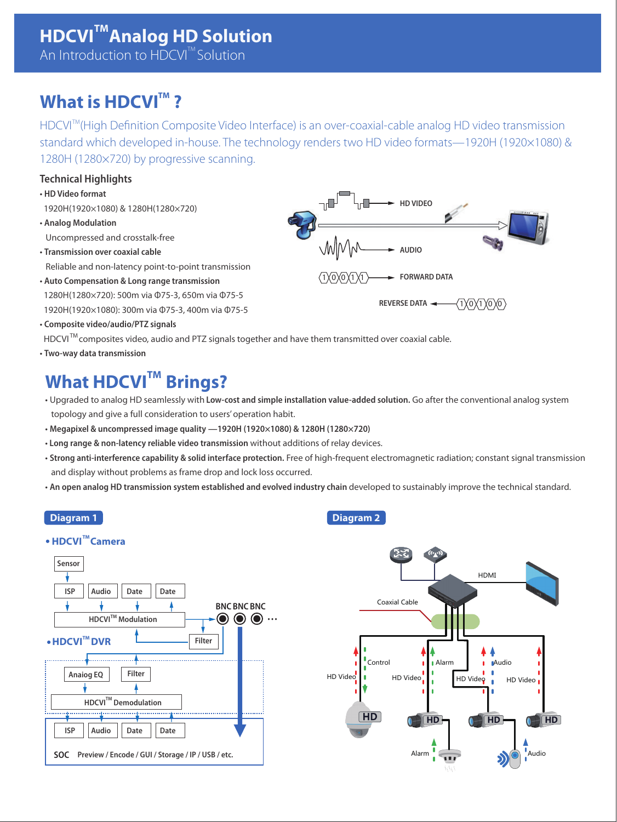## **What is HDCVI<sup>™</sup>?**

HDCVI<sup>™</sup>(High Definition Composite Video Interface) is an over-coaxial-cable analog HD video transmission standard which developed in-house. The technology renders two HD video formats—1920H (1920×1080) & 1280H (1280×720) by progressive scanning.

### **Technical Highlights**

- **HD Video format**
- 1920H(1920×1080) & 1280H(1280×720)
- **Analog Modulation** Uncompressed and crosstalk-free
- **Transmission over coaxial cable** Reliable and non-latency point-to-point transmission
- **Auto Compensation & Long range transmission** 1280H(1280×720): 500m via Φ75-3, 650m via Φ75-5 1920H(1920×1080): 300m via Φ75-3, 400m via Φ75-5
- **Composite video/audio/PTZ signals**
- HDCVI<sup>™</sup> composites video, audio and PTZ signals together and have them transmitted over coaxial cable.
- **Two-way data transmission**

# **What HDCVI™ Brings?**

- Upgraded to analog HD seamlessly with **Low-cost and simple installation value-added solution.** Go after the conventional analog system topology and give a full consideration to users' operation habit.
- **Megapixel & uncompressed image quality —1920H (1920×1080) & 1280H (1280×720)**
- • **Long range & non-latency reliable video transmission** without additions of relay devices.
- **Strong anti-interference capability & solid interface protection.** Free of high-frequent electromagnetic radiation; constant signal transmission and display without problems as frame drop and lock loss occurred.
- An open analog HD transmission system established and evolved industry chain developed to sustainably improve the technical standard.





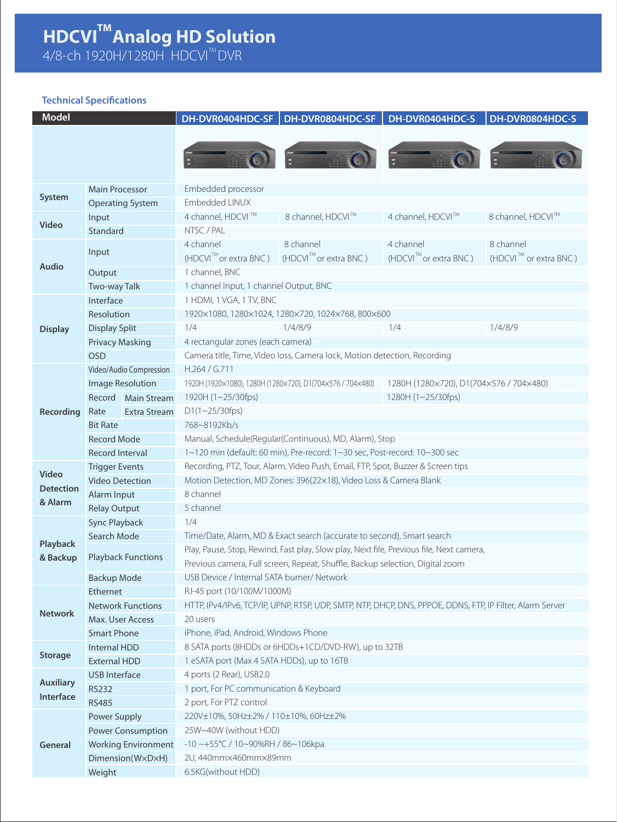#### **HDCVI Analog HD Solution TM**

4/8-ch 1920H/1280H HDCVI'''DVR TM

### **Technical Specifications**

| <b>Model</b>                  |                             | DH-DVR0404HDC-SF                                                                                              | DH-DVR0804HDC-SF                     | DH-DVR0404HDC-S                     | DH-DVR0804HDC-S                   |  |  |
|-------------------------------|-----------------------------|---------------------------------------------------------------------------------------------------------------|--------------------------------------|-------------------------------------|-----------------------------------|--|--|
|                               |                             |                                                                                                               |                                      |                                     |                                   |  |  |
|                               |                             |                                                                                                               |                                      |                                     |                                   |  |  |
|                               |                             |                                                                                                               |                                      |                                     |                                   |  |  |
|                               |                             |                                                                                                               |                                      |                                     |                                   |  |  |
| System                        | <b>Main Processor</b>       | Embedded processor<br>Embedded LINUX                                                                          |                                      |                                     |                                   |  |  |
| Video                         | <b>Operating System</b>     | 4 channel, HDCVI ™                                                                                            | 8 channel, HDCVI™                    | 4 channel, HDCVI™                   | 8 channel, HDCVI™                 |  |  |
|                               | Input<br>Standard           | NTSC / PAL                                                                                                    |                                      |                                     |                                   |  |  |
|                               |                             | 4 channel                                                                                                     | 8 channel                            | 4 channel                           | 8 channel                         |  |  |
| <b>Audio</b>                  | Input                       | $(HDCVI^{\mathsf{TM}}$ or extra BNC)                                                                          | $(HDCVI^{\mathbb{M}})$ or extra BNC) | $(HDCVI^{\mathbb{M}}$ or extra BNC) | (HDCVI <sup>™</sup> or extra BNC) |  |  |
|                               | Output                      | 1 channel, BNC                                                                                                |                                      |                                     |                                   |  |  |
|                               | Two-way Talk                | 1 channel Input, 1 channel Output, BNC                                                                        |                                      |                                     |                                   |  |  |
|                               | Interface                   | 1 HDMI, 1 VGA, 1 TV, BNC                                                                                      |                                      |                                     |                                   |  |  |
| <b>Display</b>                | Resolution                  | 1920×1080, 1280×1024, 1280×720, 1024×768, 800×600                                                             |                                      |                                     |                                   |  |  |
|                               | <b>Display Split</b>        | 1/4<br>1/4/8/9                                                                                                |                                      | 1/4                                 | 1/4/8/9                           |  |  |
|                               | <b>Privacy Masking</b>      |                                                                                                               |                                      |                                     |                                   |  |  |
|                               | <b>OSD</b>                  | 4 rectangular zones (each camera)<br>Camera title, Time, Video loss, Camera lock, Motion detection, Recording |                                      |                                     |                                   |  |  |
|                               | Video/Audio Compression     | H.264 / G.711                                                                                                 |                                      |                                     |                                   |  |  |
|                               | <b>Image Resolution</b>     | 1920H (1920×1080), 1280H (1280×720), D1(704×576 / 704×480)<br>1280H (1280×720), D1(704×576 / 704×480)         |                                      |                                     |                                   |  |  |
|                               | Record Main Stream          | 1920H (1~25/30fps)<br>1280H (1~25/30fps)                                                                      |                                      |                                     |                                   |  |  |
|                               | Rate<br><b>Extra Stream</b> | $D1(1~25/30$ fps)                                                                                             |                                      |                                     |                                   |  |  |
| Recording                     | <b>Bit Rate</b>             | 768~8192Kb/s                                                                                                  |                                      |                                     |                                   |  |  |
|                               | <b>Record Mode</b>          | Manual, Schedule(Regular(Continuous), MD, Alarm), Stop                                                        |                                      |                                     |                                   |  |  |
|                               | <b>Record Interval</b>      | 1~120 min (default: 60 min), Pre-record: 1~30 sec, Post-record: 10~300 sec                                    |                                      |                                     |                                   |  |  |
|                               | <b>Trigger Events</b>       | Recording, PTZ, Tour, Alarm, Video Push, Email, FTP, Spot, Buzzer & Screen tips                               |                                      |                                     |                                   |  |  |
| Video                         | <b>Video Detection</b>      | Motion Detection, MD Zones: 396(22×18), Video Loss & Camera Blank                                             |                                      |                                     |                                   |  |  |
| <b>Detection</b>              | Alarm Input                 | 8 channel                                                                                                     |                                      |                                     |                                   |  |  |
| & Alarm                       | <b>Relay Output</b>         | 5 channel                                                                                                     |                                      |                                     |                                   |  |  |
|                               | <b>Sync Playback</b>        | 1/4                                                                                                           |                                      |                                     |                                   |  |  |
|                               | Search Mode                 | Time/Date, Alarm, MD & Exact search (accurate to second), Smart search                                        |                                      |                                     |                                   |  |  |
| Playback                      |                             | Play, Pause, Stop, Rewind, Fast play, Slow play, Next file, Previous file, Next camera,                       |                                      |                                     |                                   |  |  |
| & Backup                      | <b>Playback Functions</b>   | Previous camera, Full screen, Repeat, Shuffle, Backup selection, Digital zoom                                 |                                      |                                     |                                   |  |  |
|                               | <b>Backup Mode</b>          | USB Device / Internal SATA burner/ Network                                                                    |                                      |                                     |                                   |  |  |
|                               | Ethernet                    | RJ-45 port (10/100M/1000M)                                                                                    |                                      |                                     |                                   |  |  |
|                               | <b>Network Functions</b>    | HTTP, IPv4/IPv6, TCP/IP, UPNP, RTSP, UDP, SMTP, NTP, DHCP, DNS, PPPOE, DDNS, FTP, IP Filter, Alarm Server     |                                      |                                     |                                   |  |  |
| <b>Network</b>                | Max. User Access            | 20 users                                                                                                      |                                      |                                     |                                   |  |  |
|                               | <b>Smart Phone</b>          | iPhone, iPad, Android, Windows Phone                                                                          |                                      |                                     |                                   |  |  |
| <b>Storage</b>                | Internal HDD                | 8 SATA ports (8HDDs or 6HDDs+1CD/DVD-RW), up to 32TB                                                          |                                      |                                     |                                   |  |  |
|                               | <b>External HDD</b>         | 1 eSATA port (Max 4 SATA HDDs), up to 16TB                                                                    |                                      |                                     |                                   |  |  |
|                               | <b>USB Interface</b>        | 4 ports (2 Rear), USB2.0                                                                                      |                                      |                                     |                                   |  |  |
| <b>Auxiliary</b><br>Interface | <b>RS232</b>                | 1 port, For PC communication & Keyboard                                                                       |                                      |                                     |                                   |  |  |
|                               | <b>RS485</b>                | 2 port, For PTZ control                                                                                       |                                      |                                     |                                   |  |  |
| General                       | Power Supply                | 220V±10%, 50Hz±2% / 110±10%, 60Hz±2%                                                                          |                                      |                                     |                                   |  |  |
|                               | <b>Power Consumption</b>    | 25W~40W (without HDD)                                                                                         |                                      |                                     |                                   |  |  |
|                               | <b>Working Environment</b>  | $-10 \sim +55^{\circ}$ C / 10~90%RH / 86~106kpa                                                               |                                      |                                     |                                   |  |  |
|                               | Dimension(WxDxH)            | 2U, 440mm×460mm×89mm                                                                                          |                                      |                                     |                                   |  |  |
|                               | Weight                      | 6.5KG(without HDD)                                                                                            |                                      |                                     |                                   |  |  |